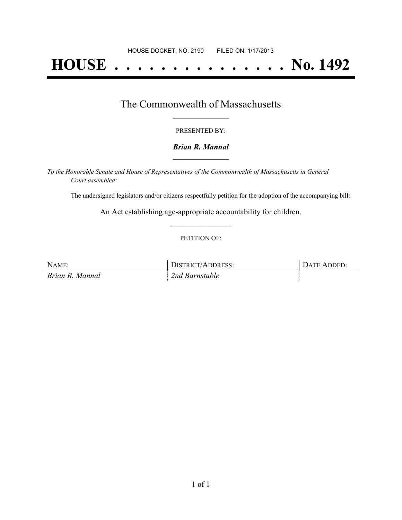# **HOUSE . . . . . . . . . . . . . . . No. 1492**

### The Commonwealth of Massachusetts **\_\_\_\_\_\_\_\_\_\_\_\_\_\_\_\_\_**

#### PRESENTED BY:

#### *Brian R. Mannal* **\_\_\_\_\_\_\_\_\_\_\_\_\_\_\_\_\_**

*To the Honorable Senate and House of Representatives of the Commonwealth of Massachusetts in General Court assembled:*

The undersigned legislators and/or citizens respectfully petition for the adoption of the accompanying bill:

An Act establishing age-appropriate accountability for children. **\_\_\_\_\_\_\_\_\_\_\_\_\_\_\_**

#### PETITION OF:

| NAME:           | DISTRICT/ADDRESS: | DATE ADDED: |
|-----------------|-------------------|-------------|
| Brian R. Mannal | 2nd Barnstable    |             |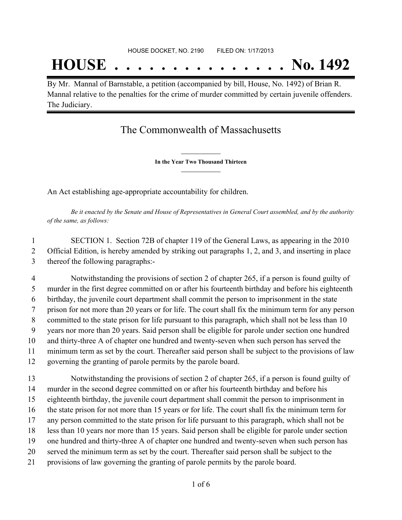## **HOUSE . . . . . . . . . . . . . . . No. 1492**

By Mr. Mannal of Barnstable, a petition (accompanied by bill, House, No. 1492) of Brian R. Mannal relative to the penalties for the crime of murder committed by certain juvenile offenders. The Judiciary.

## The Commonwealth of Massachusetts

**\_\_\_\_\_\_\_\_\_\_\_\_\_\_\_ In the Year Two Thousand Thirteen \_\_\_\_\_\_\_\_\_\_\_\_\_\_\_**

An Act establishing age-appropriate accountability for children.

Be it enacted by the Senate and House of Representatives in General Court assembled, and by the authority *of the same, as follows:*

 SECTION 1. Section 72B of chapter 119 of the General Laws, as appearing in the 2010 Official Edition, is hereby amended by striking out paragraphs 1, 2, and 3, and inserting in place thereof the following paragraphs:-

 Notwithstanding the provisions of section 2 of chapter 265, if a person is found guilty of murder in the first degree committed on or after his fourteenth birthday and before his eighteenth birthday, the juvenile court department shall commit the person to imprisonment in the state prison for not more than 20 years or for life. The court shall fix the minimum term for any person committed to the state prison for life pursuant to this paragraph, which shall not be less than 10 years nor more than 20 years. Said person shall be eligible for parole under section one hundred and thirty-three A of chapter one hundred and twenty-seven when such person has served the minimum term as set by the court. Thereafter said person shall be subject to the provisions of law governing the granting of parole permits by the parole board.

 Notwithstanding the provisions of section 2 of chapter 265, if a person is found guilty of murder in the second degree committed on or after his fourteenth birthday and before his eighteenth birthday, the juvenile court department shall commit the person to imprisonment in the state prison for not more than 15 years or for life. The court shall fix the minimum term for any person committed to the state prison for life pursuant to this paragraph, which shall not be less than 10 years nor more than 15 years. Said person shall be eligible for parole under section one hundred and thirty-three A of chapter one hundred and twenty-seven when such person has served the minimum term as set by the court. Thereafter said person shall be subject to the provisions of law governing the granting of parole permits by the parole board.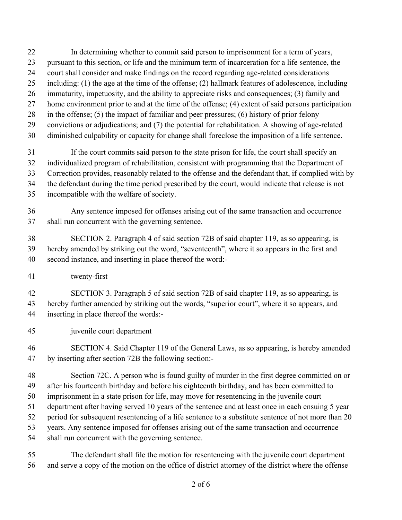- In determining whether to commit said person to imprisonment for a term of years,
- pursuant to this section, or life and the minimum term of incarceration for a life sentence, the
- court shall consider and make findings on the record regarding age-related considerations
- including: (1) the age at the time of the offense; (2) hallmark features of adolescence, including
- immaturity, impetuosity, and the ability to appreciate risks and consequences; (3) family and
- home environment prior to and at the time of the offense; (4) extent of said persons participation
- in the offense; (5) the impact of familiar and peer pressures; (6) history of prior felony
- convictions or adjudications; and (7) the potential for rehabilitation. A showing of age-related
- diminished culpability or capacity for change shall foreclose the imposition of a life sentence.

 If the court commits said person to the state prison for life, the court shall specify an individualized program of rehabilitation, consistent with programming that the Department of Correction provides, reasonably related to the offense and the defendant that, if complied with by the defendant during the time period prescribed by the court, would indicate that release is not incompatible with the welfare of society.

 Any sentence imposed for offenses arising out of the same transaction and occurrence shall run concurrent with the governing sentence.

 SECTION 2. Paragraph 4 of said section 72B of said chapter 119, as so appearing, is hereby amended by striking out the word, "seventeenth", where it so appears in the first and second instance, and inserting in place thereof the word:-

twenty-first

 SECTION 3. Paragraph 5 of said section 72B of said chapter 119, as so appearing, is hereby further amended by striking out the words, "superior court", where it so appears, and inserting in place thereof the words:-

- juvenile court department
- SECTION 4. Said Chapter 119 of the General Laws, as so appearing, is hereby amended by inserting after section 72B the following section:-

 Section 72C. A person who is found guilty of murder in the first degree committed on or after his fourteenth birthday and before his eighteenth birthday, and has been committed to

imprisonment in a state prison for life, may move for resentencing in the juvenile court

department after having served 10 years of the sentence and at least once in each ensuing 5 year

period for subsequent resentencing of a life sentence to a substitute sentence of not more than 20

years. Any sentence imposed for offenses arising out of the same transaction and occurrence

shall run concurrent with the governing sentence.

 The defendant shall file the motion for resentencing with the juvenile court department and serve a copy of the motion on the office of district attorney of the district where the offense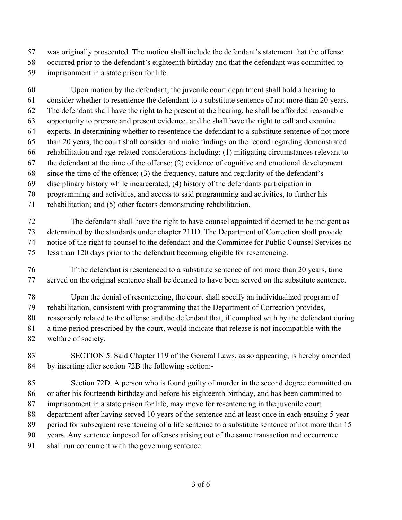was originally prosecuted. The motion shall include the defendant's statement that the offense

- occurred prior to the defendant's eighteenth birthday and that the defendant was committed to
- imprisonment in a state prison for life.

 Upon motion by the defendant, the juvenile court department shall hold a hearing to consider whether to resentence the defendant to a substitute sentence of not more than 20 years. The defendant shall have the right to be present at the hearing, he shall be afforded reasonable opportunity to prepare and present evidence, and he shall have the right to call and examine experts. In determining whether to resentence the defendant to a substitute sentence of not more than 20 years, the court shall consider and make findings on the record regarding demonstrated rehabilitation and age-related considerations including: (1) mitigating circumstances relevant to the defendant at the time of the offense; (2) evidence of cognitive and emotional development since the time of the offence; (3) the frequency, nature and regularity of the defendant's disciplinary history while incarcerated; (4) history of the defendants participation in programming and activities, and access to said programming and activities, to further his rehabilitation; and (5) other factors demonstrating rehabilitation.

 The defendant shall have the right to have counsel appointed if deemed to be indigent as determined by the standards under chapter 211D. The Department of Correction shall provide notice of the right to counsel to the defendant and the Committee for Public Counsel Services no less than 120 days prior to the defendant becoming eligible for resentencing.

- If the defendant is resentenced to a substitute sentence of not more than 20 years, time served on the original sentence shall be deemed to have been served on the substitute sentence.
- Upon the denial of resentencing, the court shall specify an individualized program of
- rehabilitation, consistent with programming that the Department of Correction provides,
- reasonably related to the offense and the defendant that, if complied with by the defendant during
- a time period prescribed by the court, would indicate that release is not incompatible with the
- welfare of society.
- SECTION 5. Said Chapter 119 of the General Laws, as so appearing, is hereby amended by inserting after section 72B the following section:-

 Section 72D. A person who is found guilty of murder in the second degree committed on or after his fourteenth birthday and before his eighteenth birthday, and has been committed to imprisonment in a state prison for life, may move for resentencing in the juvenile court department after having served 10 years of the sentence and at least once in each ensuing 5 year period for subsequent resentencing of a life sentence to a substitute sentence of not more than 15

- years. Any sentence imposed for offenses arising out of the same transaction and occurrence
- shall run concurrent with the governing sentence.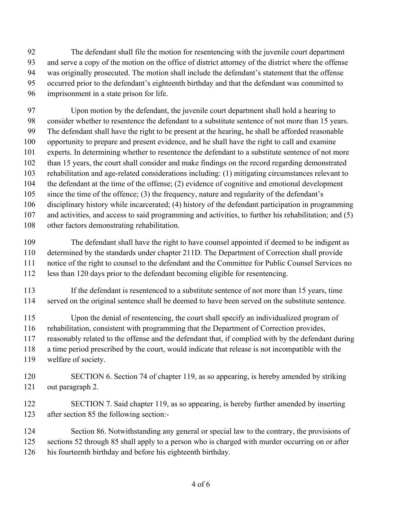The defendant shall file the motion for resentencing with the juvenile court department and serve a copy of the motion on the office of district attorney of the district where the offense was originally prosecuted. The motion shall include the defendant's statement that the offense occurred prior to the defendant's eighteenth birthday and that the defendant was committed to imprisonment in a state prison for life.

 Upon motion by the defendant, the juvenile court department shall hold a hearing to consider whether to resentence the defendant to a substitute sentence of not more than 15 years. The defendant shall have the right to be present at the hearing, he shall be afforded reasonable opportunity to prepare and present evidence, and he shall have the right to call and examine experts. In determining whether to resentence the defendant to a substitute sentence of not more than 15 years, the court shall consider and make findings on the record regarding demonstrated rehabilitation and age-related considerations including: (1) mitigating circumstances relevant to the defendant at the time of the offense; (2) evidence of cognitive and emotional development since the time of the offence; (3) the frequency, nature and regularity of the defendant's disciplinary history while incarcerated; (4) history of the defendant participation in programming and activities, and access to said programming and activities, to further his rehabilitation; and (5)

other factors demonstrating rehabilitation.

 The defendant shall have the right to have counsel appointed if deemed to be indigent as determined by the standards under chapter 211D. The Department of Correction shall provide notice of the right to counsel to the defendant and the Committee for Public Counsel Services no less than 120 days prior to the defendant becoming eligible for resentencing.

 If the defendant is resentenced to a substitute sentence of not more than 15 years, time served on the original sentence shall be deemed to have been served on the substitute sentence.

 Upon the denial of resentencing, the court shall specify an individualized program of rehabilitation, consistent with programming that the Department of Correction provides, reasonably related to the offense and the defendant that, if complied with by the defendant during a time period prescribed by the court, would indicate that release is not incompatible with the welfare of society.

 SECTION 6. Section 74 of chapter 119, as so appearing, is hereby amended by striking out paragraph 2.

 SECTION 7. Said chapter 119, as so appearing, is hereby further amended by inserting after section 85 the following section:-

124 Section 86. Notwithstanding any general or special law to the contrary, the provisions of 125 sections 52 through 85 shall apply to a person who is charged with murder occurring on or after his fourteenth birthday and before his eighteenth birthday.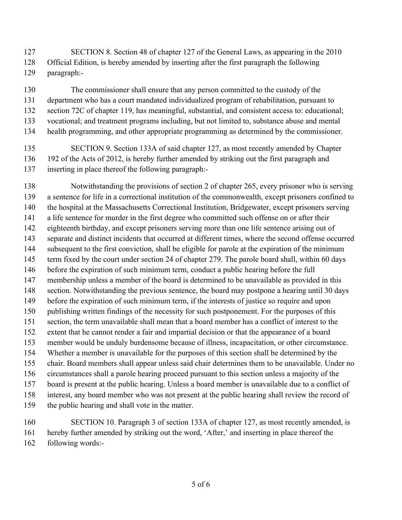SECTION 8. Section 48 of chapter 127 of the General Laws, as appearing in the 2010 Official Edition, is hereby amended by inserting after the first paragraph the following paragraph:-

 The commissioner shall ensure that any person committed to the custody of the department who has a court mandated individualized program of rehabilitation, pursuant to section 72C of chapter 119, has meaningful, substantial, and consistent access to: educational; vocational; and treatment programs including, but not limited to, substance abuse and mental health programming, and other appropriate programming as determined by the commissioner.

 SECTION 9. Section 133A of said chapter 127, as most recently amended by Chapter 136 192 of the Acts of 2012, is hereby further amended by striking out the first paragraph and inserting in place thereof the following paragraph:-

 Notwithstanding the provisions of section 2 of chapter 265, every prisoner who is serving a sentence for life in a correctional institution of the commonwealth, except prisoners confined to the hospital at the Massachusetts Correctional Institution, Bridgewater, except prisoners serving a life sentence for murder in the first degree who committed such offense on or after their eighteenth birthday, and except prisoners serving more than one life sentence arising out of separate and distinct incidents that occurred at different times, where the second offense occurred subsequent to the first conviction, shall be eligible for parole at the expiration of the minimum 145 term fixed by the court under section 24 of chapter 279. The parole board shall, within 60 days before the expiration of such minimum term, conduct a public hearing before the full membership unless a member of the board is determined to be unavailable as provided in this section. Notwithstanding the previous sentence, the board may postpone a hearing until 30 days before the expiration of such minimum term, if the interests of justice so require and upon publishing written findings of the necessity for such postponement. For the purposes of this section, the term unavailable shall mean that a board member has a conflict of interest to the extent that he cannot render a fair and impartial decision or that the appearance of a board member would be unduly burdensome because of illness, incapacitation, or other circumstance. Whether a member is unavailable for the purposes of this section shall be determined by the chair. Board members shall appear unless said chair determines them to be unavailable. Under no circumstances shall a parole hearing proceed pursuant to this section unless a majority of the board is present at the public hearing. Unless a board member is unavailable due to a conflict of interest, any board member who was not present at the public hearing shall review the record of the public hearing and shall vote in the matter.

 SECTION 10. Paragraph 3 of section 133A of chapter 127, as most recently amended, is hereby further amended by striking out the word, 'After,' and inserting in place thereof the following words:-